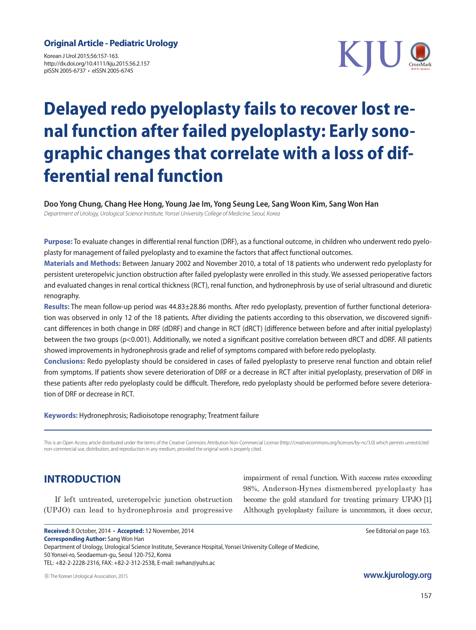#### **Original Article - Pediatric Urology**

Korean J Urol 2015;56:157-163. http://dx.doi.org/10.4111/kju.2015.56.2.157 pISSN 2005-6737 • eISSN 2005-6745



# **Delayed redo pyeloplasty fails to recover lost renal function after failed pyeloplasty: Early sonographic changes that correlate with a loss of differential renal function**

**Doo Yong Chung, Chang Hee Hong, Young Jae Im, Yong Seung Lee, Sang Woon Kim, Sang Won Han** *Department of Urology, Urological Science Institute, Yonsei University College of Medicine, Seoul, Korea*

**Purpose:** To evaluate changes in differential renal function (DRF), as a functional outcome, in children who underwent redo pyeloplasty for management of failed pyeloplasty and to examine the factors that affect functional outcomes.

**Materials and Methods:** Between January 2002 and November 2010, a total of 18 patients who underwent redo pyeloplasty for persistent ureteropelvic junction obstruction after failed pyeloplasty were enrolled in this study. We assessed perioperative factors and evaluated changes in renal cortical thickness (RCT), renal function, and hydronephrosis by use of serial ultrasound and diuretic renography.

**Results:** The mean follow-up period was 44.83±28.86 months. After redo pyeloplasty, prevention of further functional deterioration was observed in only 12 of the 18 patients. After dividing the patients according to this observation, we discovered significant differences in both change in DRF (dDRF) and change in RCT (dRCT) (difference between before and after initial pyeloplasty) between the two groups (p<0.001). Additionally, we noted a significant positive correlation between dRCT and dDRF. All patients showed improvements in hydronephrosis grade and relief of symptoms compared with before redo pyeloplasty.

**Conclusions:** Redo pyeloplasty should be considered in cases of failed pyeloplasty to preserve renal function and obtain relief from symptoms. If patients show severe deterioration of DRF or a decrease in RCT after initial pyeloplasty, preservation of DRF in these patients after redo pyeloplasty could be difficult. Therefore, redo pyeloplasty should be performed before severe deterioration of DRF or decrease in RCT.

#### **Keywords:** Hydronephrosis; Radioisotope renography; Treatment failure

This is an Open Access article distributed under the terms of the Creative Commons Attribution Non-Commercial License (http://creativecommons.org/licenses/by-nc/3.0) which permits unrestricted non-commercial use, distribution, and reproduction in any medium, provided the original work is properly cited.

# **INTRODUCTION**

If left untreated, ureteropelvic junction obstruction (UPJO) can lead to hydronephrosis and progressive impairment of renal function. With success rates exceeding 98%, Anderson-Hynes dismembered pyeloplasty has become the gold standard for treating primary UPJO [1]. Although pyeloplasty failure is uncommon, it does occur,

Received: 8 October, 2014 • Accepted: 12 November, 2014 See Editorial on page 163. **Corresponding Author:** Sang Won Han Department of Urology, Urological Science Institute, Severance Hospital, Yonsei University College of Medicine, 50 Yonsei-ro, Seodaemun-gu, Seoul 120-752, Korea TEL: +82-2-2228-2316, FAX: +82-2-312-2538, E-mail: swhan@yuhs.ac

ⓒ The Korean Urological Association, 2015

**www.kjurology.org**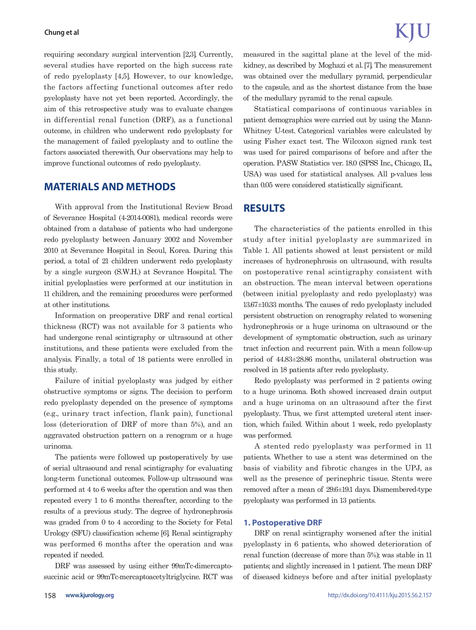#### **Chung et al**

requiring secondary surgical intervention [2,3]. Currently, several studies have reported on the high success rate of redo pyeloplasty [4,5]. However, to our knowledge, the factors affecting functional outcomes after redo pyeloplasty have not yet been reported. Accordingly, the aim of this retrospective study was to evaluate changes in differential renal function (DRF), as a functional outcome, in children who underwent redo pyeloplasty for the management of failed pyeloplasty and to outline the factors associated therewith. Our observations may help to improve functional outcomes of redo pyeloplasty.

## **MATERIALS AND METHODS**

With approval from the Institutional Review Broad of Severance Hospital (4-2014-0081), medical records were obtained from a database of patients who had undergone redo pyeloplasty between January 2002 and November 2010 at Severance Hospital in Seoul, Korea. During this period, a total of 21 children underwent redo pyeloplasty by a single surgeon (S.W.H.) at Sevrance Hospital. The initial pyeloplasties were performed at our institution in 11 children, and the remaining procedures were performed at other institutions.

Information on preoperative DRF and renal cortical thickness (RCT) was not available for 3 patients who had undergone renal scintigraphy or ultrasound at other institutions, and these patients were excluded from the analysis. Finally, a total of 18 patients were enrolled in this study.

Failure of initial pyeloplasty was judged by either obstructive symptoms or signs. The decision to perform redo pyeloplasty depended on the presence of symptoms (e.g., urinary tract infection, flank pain), functional loss (deterioration of DRF of more than 5%), and an aggravated obstruction pattern on a renogram or a huge urinoma.

The patients were followed up postoperatively by use of serial ultrasound and renal scintigraphy for evaluating long-term functional outcomes. Follow-up ultrasound was performed at 4 to 6 weeks after the operation and was then repeated every 1 to 6 months thereafter, according to the results of a previous study. The degree of hydronephrosis was graded from 0 to 4 according to the Society for Fetal Urology (SFU) classification scheme [6]. Renal scintigraphy was performed 6 months after the operation and was repeated if needed.

DRF was assessed by using either 99mTc-dimercaptosuccinic acid or 99mTc-mercaptoacetyltriglycine. RCT was measured in the sagittal plane at the level of the midkidney, as described by Moghazi et al. [7]. The measurement was obtained over the medullary pyramid, perpendicular to the capsule, and as the shortest distance from the base of the medullary pyramid to the renal capsule.

Statistical comparisons of continuous variables in patient demographics were carried out by using the Mann-Whitney U-test. Categorical variables were calculated by using Fisher exact test. The Wilcoxon signed rank test was used for paired comparisons of before and after the operation. PASW Statistics ver. 18.0 (SPSS Inc., Chicago, IL, USA) was used for statistical analyses. All p-values less than 0.05 were considered statistically significant.

### **RESULTS**

The characteristics of the patients enrolled in this study after initial pyeloplasty are summarized in Table 1. All patients showed at least persistent or mild increases of hydronephrosis on ultrasound, with results on postoperative renal scintigraphy consistent with an obstruction. The mean interval between operations (between initial pyeloplasty and redo pyeloplasty) was 13.67±10.33 months. The causes of redo pyeloplasty included persistent obstruction on renography related to worsening hydronephrosis or a huge urinoma on ultrasound or the development of symptomatic obstruction, such as urinary tract infection and recurrent pain. With a mean follow-up period of 44.83±28.86 months, unilateral obstruction was resolved in 18 patients after redo pyeloplasty.

Redo pyeloplasty was performed in 2 patients owing to a huge urinoma. Both showed increased drain output and a huge urinoma on an ultrasound after the first pyeloplasty. Thus, we first attempted ureteral stent insertion, which failed. Within about 1 week, redo pyeloplasty was performed.

A stented redo pyeloplasty was performed in 11 patients. Whether to use a stent was determined on the basis of viability and fibrotic changes in the UPJ, as well as the presence of perinephric tissue. Stents were removed after a mean of 29.6±19.1 days. Dismembered-type pyeloplasty was performed in 13 patients.

#### **1. Postoperative DRF**

DRF on renal scintigraphy worsened after the initial pyeloplasty in 6 patients, who showed deterioration of renal function (decrease of more than 5%); was stable in 11 patients; and slightly increased in 1 patient. The mean DRF of diseased kidneys before and after initial pyeloplasty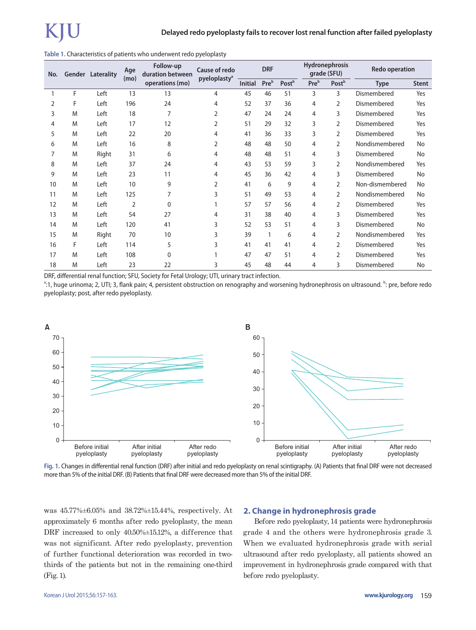|  |  |  | Table 1. Characteristics of patients who underwent redo pyeloplasty |  |
|--|--|--|---------------------------------------------------------------------|--|
|--|--|--|---------------------------------------------------------------------|--|

| No. |   | <b>Gender Laterality</b> | Age<br>(mo)    | Follow-up<br>duration between<br>operations (mo) | <b>Cause of redo</b><br>pyeloplasty <sup>a</sup> | <b>DRF</b>     |              |       | <b>Hydronephrosis</b><br>grade (SFU) |                   | <b>Redo operation</b> |              |
|-----|---|--------------------------|----------------|--------------------------------------------------|--------------------------------------------------|----------------|--------------|-------|--------------------------------------|-------------------|-----------------------|--------------|
|     |   |                          |                |                                                  |                                                  | <b>Initial</b> | Preb         | Postb | Preb                                 | Post <sup>b</sup> | <b>Type</b>           | <b>Stent</b> |
|     | F | Left                     | 13             | 13                                               | 4                                                | 45             | 46           | 51    | 3                                    | 3                 | Dismembered           | Yes          |
| 2   | F | Left                     | 196            | 24                                               | 4                                                | 52             | 37           | 36    | 4                                    | 2                 | Dismembered           | Yes          |
| 3   | M | Left                     | 18             | 7                                                | 2                                                | 47             | 24           | 24    | 4                                    | 3                 | Dismembered           | Yes          |
| 4   | M | Left                     | 17             | 12                                               | 2                                                | 51             | 29           | 32    | 3                                    | 2                 | Dismembered           | Yes          |
| 5   | M | Left                     | 22             | 20                                               | 4                                                | 41             | 36           | 33    | 3                                    | 2                 | Dismembered           | Yes          |
| 6   | M | Left                     | 16             | 8                                                | 2                                                | 48             | 48           | 50    | 4                                    | 2                 | Nondismembered        | No           |
| 7   | M | Right                    | 31             | 6                                                | 4                                                | 48             | 48           | 51    | 4                                    | 3                 | Dismembered           | <b>No</b>    |
| 8   | M | Left                     | 37             | 24                                               | 4                                                | 43             | 53           | 59    | 3                                    | 2                 | Nondismembered        | Yes          |
| 9   | M | Left                     | 23             | 11                                               | 4                                                | 45             | 36           | 42    | 4                                    | 3                 | Dismembered           | No           |
| 10  | M | Left                     | 10             | 9                                                | 2                                                | 41             | 6            | 9     | 4                                    | 2                 | Non-dismembered       | No           |
| 11  | M | Left                     | 125            | 7                                                | 3                                                | 51             | 49           | 53    | 4                                    | 2                 | Nondismembered        | No           |
| 12  | M | Left                     | $\overline{2}$ | $\Omega$                                         |                                                  | 57             | 57           | 56    | 4                                    | 2                 | Dismembered           | Yes          |
| 13  | M | Left                     | 54             | 27                                               | 4                                                | 31             | 38           | 40    | 4                                    | 3                 | Dismembered           | Yes          |
| 14  | M | Left                     | 120            | 41                                               | 3                                                | 52             | 53           | 51    | 4                                    | 3                 | Dismembered           | No           |
| 15  | M | Right                    | 70             | 10                                               | 3                                                | 39             | $\mathbf{1}$ | 6     | 4                                    | 2                 | Nondismembered        | Yes          |
| 16  | F | Left                     | 114            | 5                                                | 3                                                | 41             | 41           | 41    | 4                                    | 2                 | Dismembered           | Yes          |
| 17  | M | Left                     | 108            | 0                                                |                                                  | 47             | 47           | 51    | 4                                    | 2                 | Dismembered           | Yes          |
| 18  | M | Left                     | 23             | 22                                               | 3                                                | 45             | 48           | 44    | 4                                    | 3                 | Dismembered           | No           |

DRF, differential renal function; SFU, Society for Fetal Urology; UTI, urinary tract infection.

 $^{\circ}$ :1, huge urinoma; 2, UTI; 3, flank pain; 4, persistent obstruction on renography and worsening hydronephrosis on ultrasound.  $^{\rm b}$ : pre, before redo pyeloplasty; post, after redo pyeloplasty.



**Fig. 1.** Changes in differential renal function (DRF) after initial and redo pyeloplasty on renal scintigraphy. (A) Patients that final DRF were not decreased more than 5% of the initial DRF. (B) Patients that final DRF were decreased more than 5% of the initial DRF.

was 45.77%±6.05% and 38.72%±15.44%, respectively. At approximately 6 months after redo pyeloplasty, the mean DRF increased to only 40.50%±15.12%, a difference that was not significant. After redo pyeloplasty, prevention of further functional deterioration was recorded in twothirds of the patients but not in the remaining one-third (Fig. 1).

#### **2. Change in hydronephrosis grade**

Before redo pyeloplasty, 14 patients were hydronephrosis grade 4 and the others were hydronephrosis grade 3. When we evaluated hydronephrosis grade with serial ultrasound after redo pyeloplasty, all patients showed an improvement in hydronephrosis grade compared with that before redo pyeloplasty.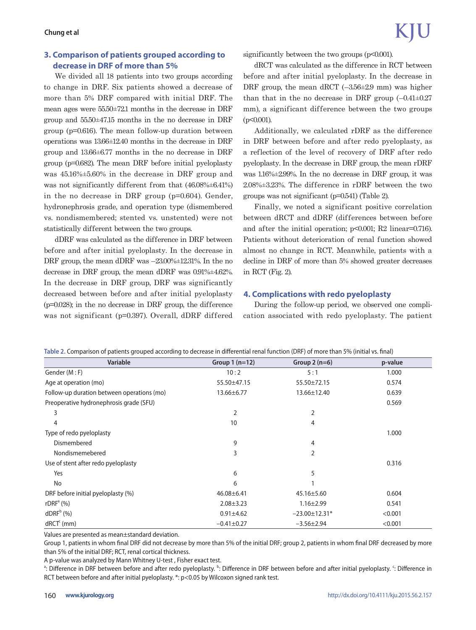# **3. Comparison of patients grouped according to decrease in DRF of more than 5%**

We divided all 18 patients into two groups according to change in DRF. Six patients showed a decrease of more than 5% DRF compared with initial DRF. The mean ages were 55.50±72.1 months in the decrease in DRF group and 55.50±47.15 months in the no decrease in DRF group (p=0.616). The mean follow-up duration between operations was 13.66±12.40 months in the decrease in DRF group and 13.66±6.77 months in the no decrease in DRF group (p=0.682). The mean DRF before initial pyeloplasty was 45.16%±5.60% in the decrease in DRF group and was not significantly different from that  $(46.08\% \pm 6.41\%)$ in the no decrease in DRF group (p=0.604). Gender, hydronephrosis grade, and operation type (dismembered vs. nondismembered; stented vs. unstented) were not statistically different between the two groups.

dDRF was calculated as the difference in DRF between before and after initial pyeloplasty. In the decrease in DRF group, the mean dDRF was –23.00%±12.31%. In the no decrease in DRF group, the mean dDRF was 0.91%±4.62%. In the decrease in DRF group, DRF was significantly decreased between before and after initial pyeloplasty (p=0.028); in the no decrease in DRF group, the difference was not significant (p=0.397). Overall, dDRF differed significantly between the two groups  $(p<0.001)$ .

dRCT was calculated as the difference in RCT between before and after initial pyeloplasty. In the decrease in DRF group, the mean dRCT  $(-3.56\pm2.9 \text{ mm})$  was higher than that in the no decrease in DRF group  $(-0.41 \pm 0.27)$ mm), a significant difference between the two groups  $(p<0.001)$ .

Additionally, we calculated rDRF as the difference in DRF between before and after redo pyeloplasty, as a reflection of the level of recovery of DRF after redo pyeloplasty. In the decrease in DRF group, the mean rDRF was 1.16%±2.99%. In the no decrease in DRF group, it was 2.08%±3.23%. The difference in rDRF between the two groups was not significant (p=0.541) (Table 2).

Finally, we noted a significant positive correlation between dRCT and dDRF (differences between before and after the initial operation; p<0.001; R2 linear=0.716). Patients without deterioration of renal function showed almost no change in RCT. Meanwhile, patients with a decline in DRF of more than 5% showed greater decreases in RCT (Fig. 2).

#### **4. Complications with redo pyeloplasty**

During the follow-up period, we observed one complication associated with redo pyeloplasty. The patient

| Table 2. Comparison or patients grouped according to decrease in unicremial renarrunction (DNF) or more than 5% (initial vs. miar) |                  |                     |         |  |  |  |  |  |
|------------------------------------------------------------------------------------------------------------------------------------|------------------|---------------------|---------|--|--|--|--|--|
| <b>Variable</b>                                                                                                                    | Group $1(n=12)$  | Group $2(n=6)$      | p-value |  |  |  |  |  |
| Gender (M:F)                                                                                                                       | 10:2             | 5:1                 | 1.000   |  |  |  |  |  |
| Age at operation (mo)                                                                                                              | 55.50±47.15      | 55.50±72.15         | 0.574   |  |  |  |  |  |
| Follow-up duration between operations (mo)                                                                                         | $13.66 \pm 6.77$ | 13.66±12.40         | 0.639   |  |  |  |  |  |
| Preoperative hydronephrosis grade (SFU)                                                                                            |                  |                     | 0.569   |  |  |  |  |  |
| 3                                                                                                                                  | 2                | 2                   |         |  |  |  |  |  |
| 4                                                                                                                                  | 10               | $\overline{4}$      |         |  |  |  |  |  |
| Type of redo pyeloplasty                                                                                                           |                  |                     | 1.000   |  |  |  |  |  |
| Dismembered                                                                                                                        | 9                | 4                   |         |  |  |  |  |  |
| Nondismemebered                                                                                                                    | 3                | $\overline{2}$      |         |  |  |  |  |  |
| Use of stent after redo pyeloplasty                                                                                                |                  |                     | 0.316   |  |  |  |  |  |
| Yes                                                                                                                                | 6                | 5                   |         |  |  |  |  |  |
| No                                                                                                                                 | 6                |                     |         |  |  |  |  |  |
| DRF before initial pyeloplasty (%)                                                                                                 | $46.08 \pm 6.41$ | 45.16±5.60          | 0.604   |  |  |  |  |  |
| rDRF <sup>a</sup> (%)                                                                                                              | $2.08 \pm 3.23$  | $1.16 \pm 2.99$     | 0.541   |  |  |  |  |  |
| $dDRF^b$ (%)                                                                                                                       | $0.91 \pm 4.62$  | $-23.00 \pm 12.31*$ | < 0.001 |  |  |  |  |  |
| $dRCTc$ (mm)                                                                                                                       | $-0.41 \pm 0.27$ | $-3.56 \pm 2.94$    | < 0.001 |  |  |  |  |  |

**Table 2.** Comparison of patients grouped according to decrease in differential renal function (DRF) of more than 5% (initial vs. final)

Values are presented as mean±standard deviation.

Group 1, patients in whom final DRF did not decrease by more than 5% of the initial DRF; group 2, patients in whom final DRF decreased by more than 5% of the initial DRF; RCT, renal cortical thickness.

A p-value was analyzed by Mann Whitney U-test , Fisher exact test.

<sup>a</sup>: Difference in DRF between before and after redo pyeloplasty. <sup>b</sup>: Difference in DRF between before and after initial pyeloplasty. <sup>c</sup>: Difference in RCT between before and after initial pyeloplasty. \*: p<0.05 by Wilcoxon signed rank test.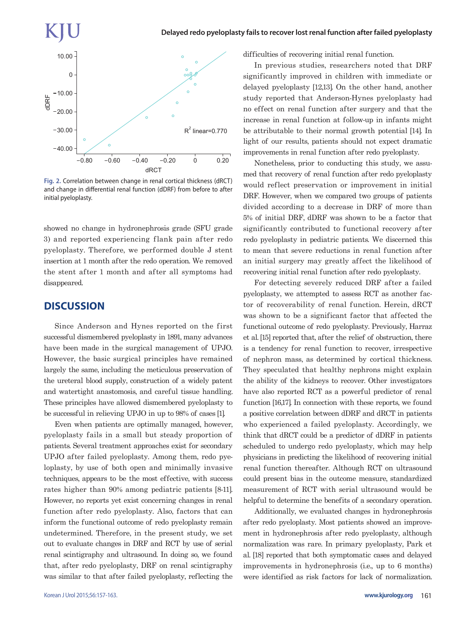

**Fig. 2.** Correlation between change in renal cortical thickness (dRCT) and change in differential renal function (dDRF) from before to after initial pyeloplasty.

showed no change in hydronephrosis grade (SFU grade 3) and reported experiencing flank pain after redo pyeloplasty. Therefore, we performed double J stent insertion at 1 month after the redo operation. We removed the stent after 1 month and after all symptoms had disappeared.

# **DISCUSSION**

Since Anderson and Hynes reported on the first successful dismembered pyeloplasty in 1891, many advances have been made in the surgical management of UPJO. However, the basic surgical principles have remained largely the same, including the meticulous preservation of the ureteral blood supply, construction of a widely patent and watertight anastomosis, and careful tissue handling. These principles have allowed dismembered pyeloplasty to be successful in relieving UPJO in up to 98% of cases [1].

Even when patients are optimally managed, however, pyeloplasty fails in a small but steady proportion of patients. Several treatment approaches exist for secondary UPJO after failed pyeloplasty. Among them, redo pyeloplasty, by use of both open and minimally invasive techniques, appears to be the most effective, with success rates higher than 90% among pediatric patients [8-11]. However, no reports yet exist concerning changes in renal function after redo pyeloplasty. Also, factors that can inform the functional outcome of redo pyeloplasty remain undetermined. Therefore, in the present study, we set out to evaluate changes in DRF and RCT by use of serial renal scintigraphy and ultrasound. In doing so, we found that, after redo pyeloplasty, DRF on renal scintigraphy was similar to that after failed pyeloplasty, reflecting the difficulties of recovering initial renal function.

In previous studies, researchers noted that DRF significantly improved in children with immediate or delayed pyeloplasty [12,13]. On the other hand, another study reported that Anderson-Hynes pyeloplasty had no effect on renal function after surgery and that the increase in renal function at follow-up in infants might be attributable to their normal growth potential [14]. In light of our results, patients should not expect dramatic improvements in renal function after redo pyeloplasty.

Nonetheless, prior to conducting this study, we assumed that recovery of renal function after redo pyeloplasty would reflect preservation or improvement in initial DRF. However, when we compared two groups of patients divided according to a decrease in DRF of more than 5% of initial DRF, dDRF was shown to be a factor that significantly contributed to functional recovery after redo pyeloplasty in pediatric patients. We discerned this to mean that severe reductions in renal function after an initial surgery may greatly affect the likelihood of recovering initial renal function after redo pyeloplasty.

For detecting severely reduced DRF after a failed pyeloplasty, we attempted to assess RCT as another factor of recoverability of renal function. Herein, dRCT was shown to be a significant factor that affected the functional outcome of redo pyeloplasty. Previously, Harraz et al. [15] reported that, after the relief of obstruction, there is a tendency for renal function to recover, irrespective of nephron mass, as determined by cortical thickness. They speculated that healthy nephrons might explain the ability of the kidneys to recover. Other investigators have also reported RCT as a powerful predictor of renal function [16,17]. In connection with these reports, we found a positive correlation between dDRF and dRCT in patients who experienced a failed pyeloplasty. Accordingly, we think that dRCT could be a predictor of dDRF in patients scheduled to undergo redo pyeloplasty, which may help physicians in predicting the likelihood of recovering initial renal function thereafter. Although RCT on ultrasound could present bias in the outcome measure, standardized measurement of RCT with serial ultrasound would be helpful to determine the benefits of a secondary operation.

Additionally, we evaluated changes in hydronephrosis after redo pyeloplasty. Most patients showed an improvement in hydronephrosis after redo pyeloplasty, although normalization was rare. In primary pyeloplasty, Park et al. [18] reported that both symptomatic cases and delayed improvements in hydronephrosis (i.e., up to 6 months) were identified as risk factors for lack of normalization.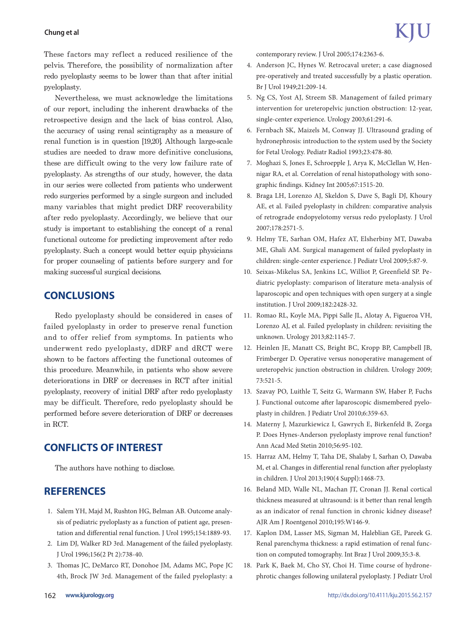#### **Chung et al**

These factors may reflect a reduced resilience of the pelvis. Therefore, the possibility of normalization after redo pyeloplasty seems to be lower than that after initial pyeloplasty.

Nevertheless, we must acknowledge the limitations of our report, including the inherent drawbacks of the retrospective design and the lack of bias control. Also, the accuracy of using renal scintigraphy as a measure of renal function is in question [19,20]. Although large-scale studies are needed to draw more definitive conclusions, these are difficult owing to the very low failure rate of pyeloplasty. As strengths of our study, however, the data in our series were collected from patients who underwent redo surgeries performed by a single surgeon and included many variables that might predict DRF recoverability after redo pyeloplasty. Accordingly, we believe that our study is important to establishing the concept of a renal functional outcome for predicting improvement after redo pyeloplasty. Such a concept would better equip physicians for proper counseling of patients before surgery and for making successful surgical decisions.

# **CONCLUSIONS**

Redo pyeloplasty should be considered in cases of failed pyeloplasty in order to preserve renal function and to offer relief from symptoms. In patients who underwent redo pyeloplasty, dDRF and dRCT were shown to be factors affecting the functional outcomes of this procedure. Meanwhile, in patients who show severe deteriorations in DRF or decreases in RCT after initial pyeloplasty, recovery of initial DRF after redo pyeloplasty may be difficult. Therefore, redo pyeloplasty should be performed before severe deterioration of DRF or decreases in RCT.

# **CONFLICTS OF INTEREST**

The authors have nothing to disclose.

# **REFERENCES**

- 1. Salem YH, Majd M, Rushton HG, Belman AB. Outcome analysis of pediatric pyeloplasty as a function of patient age, presentation and differential renal function. J Urol 1995;154:1889-93.
- 2. Lim DJ, Walker RD 3rd. Management of the failed pyeloplasty. J Urol 1996;156(2 Pt 2):738-40.
- 3. Thomas JC, DeMarco RT, Donohoe JM, Adams MC, Pope JC 4th, Brock JW 3rd. Management of the failed pyeloplasty: a

contemporary review. J Urol 2005;174:2363-6.

- 4. Anderson JC, Hynes W. Retrocaval ureter; a case diagnosed pre-operatively and treated successfully by a plastic operation. Br J Urol 1949;21:209-14.
- 5. Ng CS, Yost AJ, Streem SB. Management of failed primary intervention for ureteropelvic junction obstruction: 12-year, single-center experience. Urology 2003;61:291-6.
- 6. Fernbach SK, Maizels M, Conway JJ. Ultrasound grading of hydronephrosis: introduction to the system used by the Society for Fetal Urology. Pediatr Radiol 1993;23:478-80.
- 7. Moghazi S, Jones E, Schroepple J, Arya K, McClellan W, Hennigar RA, et al. Correlation of renal histopathology with sonographic findings. Kidney Int 2005;67:1515-20.
- 8. Braga LH, Lorenzo AJ, Skeldon S, Dave S, Bagli DJ, Khoury AE, et al. Failed pyeloplasty in children: comparative analysis of retrograde endopyelotomy versus redo pyeloplasty. J Urol 2007;178:2571-5.
- 9. Helmy TE, Sarhan OM, Hafez AT, Elsherbiny MT, Dawaba ME, Ghali AM. Surgical management of failed pyeloplasty in children: single-center experience. J Pediatr Urol 2009;5:87-9.
- 10. Seixas-Mikelus SA, Jenkins LC, Williot P, Greenfield SP. Pediatric pyeloplasty: comparison of literature meta-analysis of laparoscopic and open techniques with open surgery at a single institution. J Urol 2009;182:2428-32.
- 11. Romao RL, Koyle MA, Pippi Salle JL, Alotay A, Figueroa VH, Lorenzo AJ, et al. Failed pyeloplasty in children: revisiting the unknown. Urology 2013;82:1145-7.
- 12. Heinlen JE, Manatt CS, Bright BC, Kropp BP, Campbell JB, Frimberger D. Operative versus nonoperative management of ureteropelvic junction obstruction in children. Urology 2009; 73:521-5.
- 13. Szavay PO, Luithle T, Seitz G, Warmann SW, Haber P, Fuchs J. Functional outcome after laparoscopic dismembered pyeloplasty in children. J Pediatr Urol 2010;6:359-63.
- 14. Materny J, Mazurkiewicz I, Gawrych E, Birkenfeld B, Zorga P. Does Hynes-Anderson pyeloplasty improve renal function? Ann Acad Med Stetin 2010;56:95-102.
- 15. Harraz AM, Helmy T, Taha DE, Shalaby I, Sarhan O, Dawaba M, et al. Changes in differential renal function after pyeloplasty in children. J Urol 2013;190(4 Suppl):1468-73.
- 16. Beland MD, Walle NL, Machan JT, Cronan JJ. Renal cortical thickness measured at ultrasound: is it better than renal length as an indicator of renal function in chronic kidney disease? AJR Am J Roentgenol 2010;195:W146-9.
- 17. Kaplon DM, Lasser MS, Sigman M, Haleblian GE, Pareek G. Renal parenchyma thickness: a rapid estimation of renal function on computed tomography. Int Braz J Urol 2009;35:3-8.
- 18. Park K, Baek M, Cho SY, Choi H. Time course of hydronephrotic changes following unilateral pyeloplasty. J Pediatr Urol